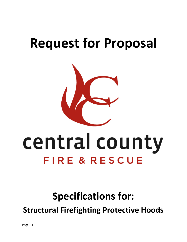## **Request for Proposal**



# central county FIRE & RESCUE

### **Specifications for:**

**Structural Firefighting Protective Hoods**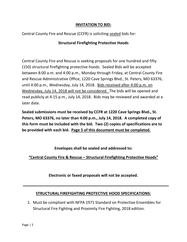#### **INVITATION TO BID:**

Central County Fire and Rescue (CCFR) is soliciting sealed bids for:

#### **Structural Firefighting Protective Hoods**

Central County Fire and Rescue is seeking proposals for one hundred and fifty (150) structural firefighting protective hoods. Sealed Bids will be accepted between 8:00 a.m. and 4:00 p.m., Monday through Friday, at Central County Fire and Rescue Administrative Office, 1220 Cave Springs Blvd., St. Peters, MO 63376, until 4:00 p.m., Wednesday, July 14, 2018. Bids received after 4:00 p.m. on Wednesday, July 14, 2018 will not be considered. The bids will be opened and read publicly at 4:15 p.m., July 14, 2018. Bids may be reviewed and awarded at a later date.

**Sealed submissions must be received by CCFR at 1220 Cave Springs Blvd., St. Peters, MO 63376, no later than 4:00 p.m., July 14, 2018. A completed copy of this form must be included with the bid. Two (2) copies of specifications are to be provided with each bid. Page 5 of this document must be completed.**

**Envelopes shall be sealed and addressed to:**

**"Central County Fire & Rescue – Structural Firefighting Protective Hoods"**

**Electronic or faxed proposals will not be accepted.**

#### **STRUCTURAL FIREFIGHTING PROTECTIVE HOOD SPECIFICATIONS:**

1. Must be compliant with NFPA 1971 Standard on Protective Ensembles for Structural Fire Fighting and Proximity Fire Fighting, 2018 edition.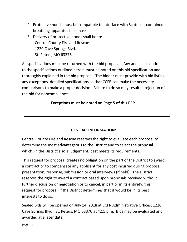- 2. Protective hoods must be compatible to interface with Scott self-contained breathing apparatus face mask.
- 3. Delivery of protective hoods shall be to: Central County Fire and Rescue 1220 Cave Springs Blvd. St. Peters, MO 63376

All specifications must be returned with the bid proposal. Any and all exceptions to the specifications outlined herein must be noted on this bid specification and thoroughly explained in the bid proposal. The bidder must provide with bid listing any exceptions, detailed specifications so that CCFR can make the necessary comparisons to make a proper decision. Failure to do so may result in rejection of the bid for noncompliance.

#### **Exceptions must be noted on Page 5 of this RFP.**

#### **GENERAL INFORMATION:**

Central County Fire and Rescue reserves the right to evaluate each proposal to determine the most advantageous to the District and to select the proposal which, in the District's sole judgement, best meets its requirements.

This request for proposal creates no obligation on the part of the District to award a contract or to compensate any applicant for any cost incurred during proposal presentation, response, submission or oral interviews (if held). The District reserves the right to award a contract based upon proposals received without further discussion or negotiation or to cancel, in part or in its entirety, this request for proposal, if the District determines that it would be in its best interests to do so.

Sealed Bids will be opened on July 14, 2018 at CCFR Administrative Offices, 1220 Cave Springs Blvd., St. Peters, MO 63376 at 4:15 p.m. Bids may be evaluated and awarded at a later date.

Page | 3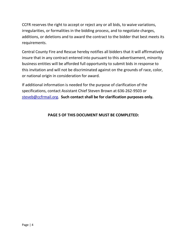CCFR reserves the right to accept or reject any or all bids, to waive variations, irregularities, or formalities in the bidding process, and to negotiate charges, additions, or deletions and to award the contract to the bidder that best meets its requirements.

Central County Fire and Rescue hereby notifies all bidders that it will affirmatively insure that in any contract entered into pursuant to this advertisement, minority business entities will be afforded full opportunity to submit bids in response to this invitation and will not be discriminated against on the grounds of race, color, or national origin in consideration for award.

If additional information is needed for the purpose of clarification of the specifications, contact Assistant Chief Steven Brown at 636-262-9503 or [steveb@ccfrmail.org.](mailto:steveb@ccfrmail.org) **Such contact shall be for clarification purposes only.**

#### **PAGE 5 OF THIS DOCUMENT MUST BE COMPLETED:**